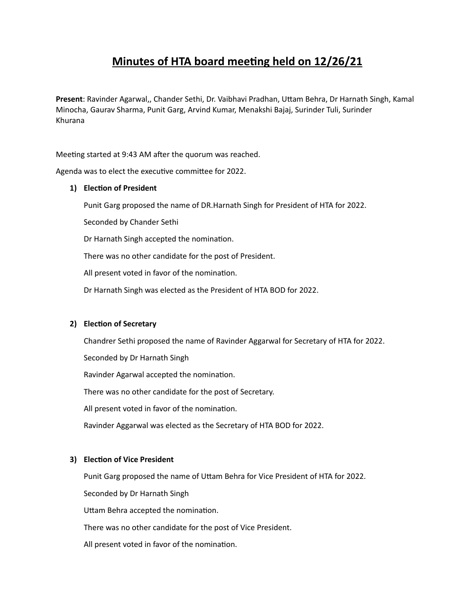# **Minutes of HTA board meeting held on 12/26/21**

**Present**: Ravinder Agarwal,, Chander Sethi, Dr. Vaibhavi Pradhan, Uttam Behra, Dr Harnath Singh, Kamal Minocha, Gaurav Sharma, Punit Garg, Arvind Kumar, Menakshi Bajaj, Surinder Tuli, Surinder Khurana

Meeting started at 9:43 AM after the quorum was reached.

Agenda was to elect the executive committee for 2022.

## **1) Election of President**

Punit Garg proposed the name of DR.Harnath Singh for President of HTA for 2022.

Seconded by Chander Sethi

Dr Harnath Singh accepted the nomination.

There was no other candidate for the post of President.

All present voted in favor of the nomination.

Dr Harnath Singh was elected as the President of HTA BOD for 2022.

## **2) Election of Secretary**

Chandrer Sethi proposed the name of Ravinder Aggarwal for Secretary of HTA for 2022.

Seconded by Dr Harnath Singh

Ravinder Agarwal accepted the nomination.

There was no other candidate for the post of Secretary.

All present voted in favor of the nomination.

Ravinder Aggarwal was elected as the Secretary of HTA BOD for 2022.

## **3) Election of Vice President**

Punit Garg proposed the name of Uttam Behra for Vice President of HTA for 2022.

Seconded by Dr Harnath Singh

Uttam Behra accepted the nomination.

There was no other candidate for the post of Vice President.

All present voted in favor of the nomination.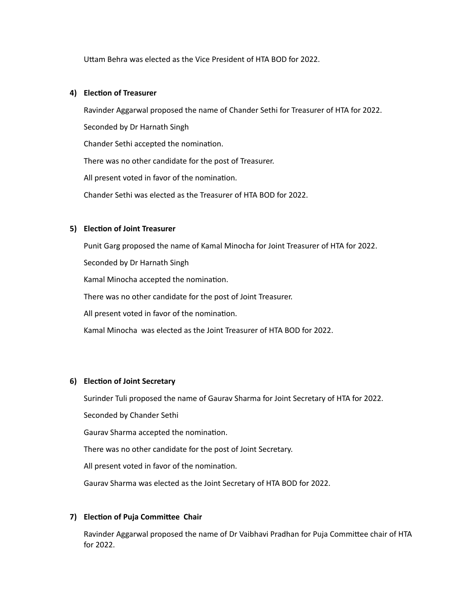Uttam Behra was elected as the Vice President of HTA BOD for 2022.

#### **4) Election of Treasurer**

Ravinder Aggarwal proposed the name of Chander Sethi for Treasurer of HTA for 2022. Seconded by Dr Harnath Singh Chander Sethi accepted the nomination. There was no other candidate for the post of Treasurer. All present voted in favor of the nomination. Chander Sethi was elected as the Treasurer of HTA BOD for 2022.

## **5) Election of Joint Treasurer**

Punit Garg proposed the name of Kamal Minocha for Joint Treasurer of HTA for 2022. Seconded by Dr Harnath Singh Kamal Minocha accepted the nomination. There was no other candidate for the post of Joint Treasurer. All present voted in favor of the nomination. Kamal Minocha was elected as the Joint Treasurer of HTA BOD for 2022.

## **6) Election of Joint Secretary**

Surinder Tuli proposed the name of Gaurav Sharma for Joint Secretary of HTA for 2022.

Seconded by Chander Sethi

Gaurav Sharma accepted the nomination.

There was no other candidate for the post of Joint Secretary.

All present voted in favor of the nomination.

Gaurav Sharma was elected as the Joint Secretary of HTA BOD for 2022.

## **7) Election of Puja Committee Chair**

Ravinder Aggarwal proposed the name of Dr Vaibhavi Pradhan for Puja Committee chair of HTA for 2022.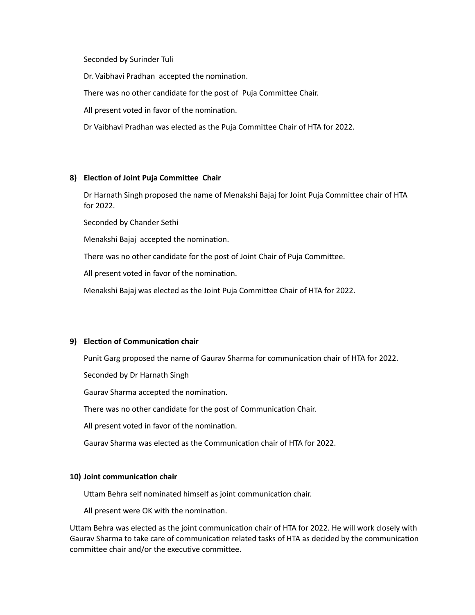Seconded by Surinder Tuli

Dr. Vaibhavi Pradhan accepted the nomination.

There was no other candidate for the post of Puja Committee Chair.

All present voted in favor of the nomination.

Dr Vaibhavi Pradhan was elected as the Puja Committee Chair of HTA for 2022.

#### **8) Election of Joint Puja Committee Chair**

Dr Harnath Singh proposed the name of Menakshi Bajaj for Joint Puja Committee chair of HTA for 2022.

Seconded by Chander Sethi

Menakshi Bajaj accepted the nomination.

There was no other candidate for the post of Joint Chair of Puja Committee.

All present voted in favor of the nomination.

Menakshi Bajaj was elected as the Joint Puja Committee Chair of HTA for 2022.

## **9) Election of Communication chair**

Punit Garg proposed the name of Gaurav Sharma for communication chair of HTA for 2022.

Seconded by Dr Harnath Singh

Gaurav Sharma accepted the nomination.

There was no other candidate for the post of Communication Chair.

All present voted in favor of the nomination.

Gaurav Sharma was elected as the Communication chair of HTA for 2022.

#### **10) Joint communication chair**

Uttam Behra self nominated himself as joint communication chair.

All present were OK with the nomination.

Uttam Behra was elected as the joint communication chair of HTA for 2022. He will work closely with Gaurav Sharma to take care of communication related tasks of HTA as decided by the communication committee chair and/or the executive committee.